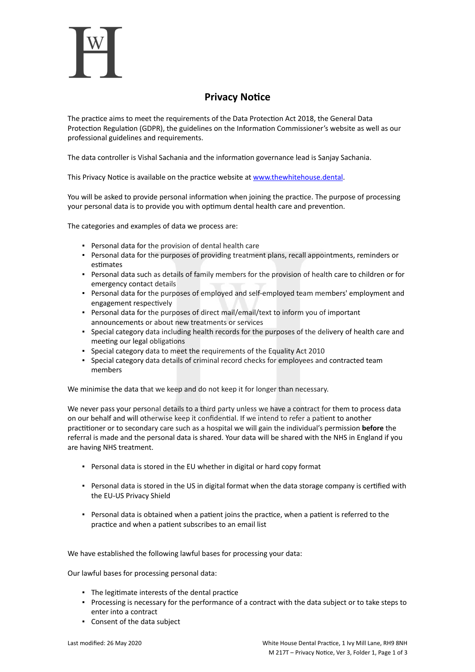

## **Privacy Notice**

The practice aims to meet the requirements of the Data Protection Act 2018, the General Data Protection Regulation (GDPR), the guidelines on the Information Commissioner's website as well as our professional guidelines and requirements.

The data controller is Vishal Sachania and the information governance lead is Sanjay Sachania.

This Privacy Notice is available on the practice website at [www.thewhitehouse.dental.](https://www.thewhitehouse.dental/)

You will be asked to provide personal information when joining the practice. The purpose of processing your personal data is to provide you with optimum dental health care and prevention.

The categories and examples of data we process are:

- Personal data for the provision of dental health care
- Personal data for the purposes of providing treatment plans, recall appointments, reminders or estimates
- Personal data such as details of family members for the provision of health care to children or for emergency contact details
- Personal data for the purposes of employed and self-employed team members' employment and engagement respectively
- Personal data for the purposes of direct mail/email/text to inform you of important announcements or about new treatments or services
- Special category data including health records for the purposes of the delivery of health care and meeting our legal obligations
- Special category data to meet the requirements of the Equality Act 2010
- Special category data details of criminal record checks for employees and contracted team members

We minimise the data that we keep and do not keep it for longer than necessary.

We never pass your personal details to a third party unless we have a contract for them to process data on our behalf and will otherwise keep it confidential. If we intend to refer a patient to another practitioner or to secondary care such as a hospital we will gain the individual's permission **before** the referral is made and the personal data is shared. Your data will be shared with the NHS in England if you are having NHS treatment.

- Personal data is stored in the EU whether in digital or hard copy format
- Personal data is stored in the US in digital format when the data storage company is certified with the EU-US Privacy Shield
- Personal data is obtained when a patient joins the practice, when a patient is referred to the practice and when a patient subscribes to an email list

We have established the following lawful bases for processing your data:

Our lawful bases for processing personal data:

- The legitimate interests of the dental practice
- Processing is necessary for the performance of a contract with the data subject or to take steps to enter into a contract
- Consent of the data subject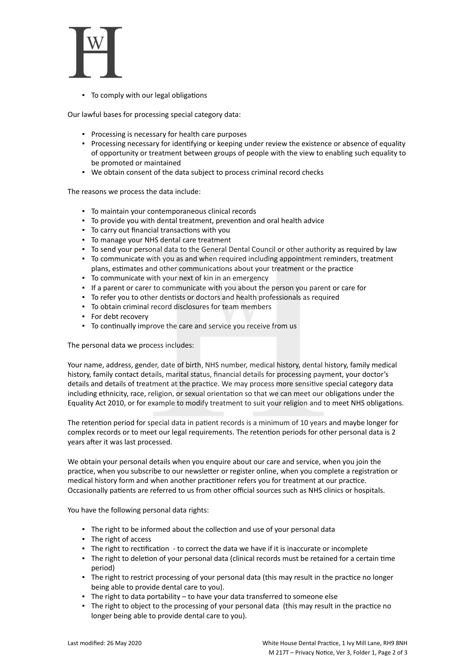

▪ To comply with our legal obligations

Our lawful bases for processing special category data:

- Processing is necessary for health care purposes
- Processing necessary for identifying or keeping under review the existence or absence of equality of opportunity or treatment between groups of people with the view to enabling such equality to be promoted or maintained
- We obtain consent of the data subject to process criminal record checks

The reasons we process the data include:

- To maintain your contemporaneous clinical records
- To provide you with dental treatment, prevention and oral health advice
- To carry out financial transactions with you
- To manage your NHS dental care treatment
- To send your personal data to the General Dental Council or other authority as required by law
- To communicate with you as and when required including appointment reminders, treatment plans, estimates and other communications about your treatment or the practice
- To communicate with your next of kin in an emergency
- If a parent or carer to communicate with you about the person you parent or care for
- To refer you to other dentists or doctors and health professionals as required
- To obtain criminal record disclosures for team members
- For debt recovery
- To continually improve the care and service you receive from us

The personal data we process includes:

Your name, address, gender, date of birth, NHS number, medical history, dental history, family medical history, family contact details, marital status, financial details for processing payment, your doctor's details and details of treatment at the practice. We may process more sensitive special category data including ethnicity, race, religion, or sexual orientation so that we can meet our obligations under the Equality Act 2010, or for example to modify treatment to suit your religion and to meet NHS obligations.

The retention period for special data in patient records is a minimum of 10 years and maybe longer for complex records or to meet our legal requirements. The retention periods for other personal data is 2 years after it was last processed.

We obtain your personal details when you enquire about our care and service, when you join the practice, when you subscribe to our newsletter or register online, when you complete a registration or medical history form and when another practitioner refers you for treatment at our practice. Occasionally patients are referred to us from other official sources such as NHS clinics or hospitals.

You have the following personal data rights:

- The right to be informed about the collection and use of your personal data
- The right of access
- The right to rectification to correct the data we have if it is inaccurate or incomplete
- The right to deletion of your personal data (clinical records must be retained for a certain time period)
- The right to restrict processing of your personal data (this may result in the practice no longer being able to provide dental care to you).
- The right to data portability to have your data transferred to someone else
- The right to object to the processing of your personal data (this may result in the practice no longer being able to provide dental care to you).